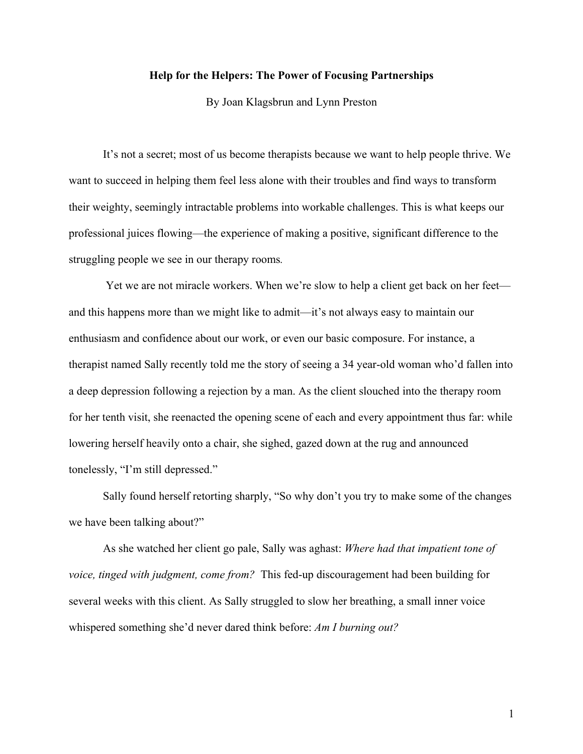## **Help for the Helpers: The Power of Focusing Partnerships**

By Joan Klagsbrun and Lynn Preston

It's not a secret; most of us become therapists because we want to help people thrive. We want to succeed in helping them feel less alone with their troubles and find ways to transform their weighty, seemingly intractable problems into workable challenges. This is what keeps our professional juices flowing—the experience of making a positive, significant difference to the struggling people we see in our therapy rooms*.*

Yet we are not miracle workers. When we're slow to help a client get back on her feet and this happens more than we might like to admit—it's not always easy to maintain our enthusiasm and confidence about our work, or even our basic composure. For instance, a therapist named Sally recently told me the story of seeing a 34 year-old woman who'd fallen into a deep depression following a rejection by a man. As the client slouched into the therapy room for her tenth visit, she reenacted the opening scene of each and every appointment thus far: while lowering herself heavily onto a chair, she sighed, gazed down at the rug and announced tonelessly, "I'm still depressed."

Sally found herself retorting sharply, "So why don't you try to make some of the changes we have been talking about?"

As she watched her client go pale, Sally was aghast: *Where had that impatient tone of voice, tinged with judgment, come from?* This fed-up discouragement had been building for several weeks with this client. As Sally struggled to slow her breathing, a small inner voice whispered something she'd never dared think before: *Am I burning out?*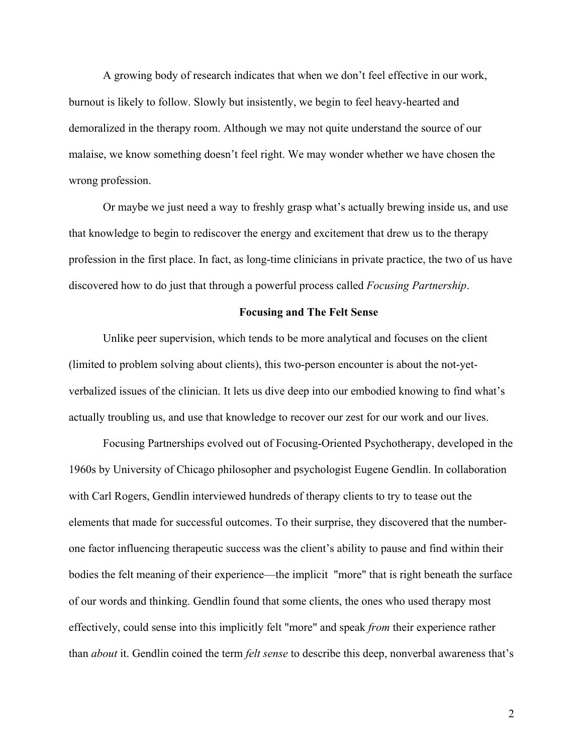A growing body of research indicates that when we don't feel effective in our work, burnout is likely to follow. Slowly but insistently, we begin to feel heavy-hearted and demoralized in the therapy room. Although we may not quite understand the source of our malaise, we know something doesn't feel right. We may wonder whether we have chosen the wrong profession.

Or maybe we just need a way to freshly grasp what's actually brewing inside us, and use that knowledge to begin to rediscover the energy and excitement that drew us to the therapy profession in the first place. In fact, as long-time clinicians in private practice, the two of us have discovered how to do just that through a powerful process called *Focusing Partnership*.

## **Focusing and The Felt Sense**

Unlike peer supervision, which tends to be more analytical and focuses on the client (limited to problem solving about clients), this two-person encounter is about the not-yetverbalized issues of the clinician. It lets us dive deep into our embodied knowing to find what's actually troubling us, and use that knowledge to recover our zest for our work and our lives.

Focusing Partnerships evolved out of Focusing-Oriented Psychotherapy, developed in the 1960s by University of Chicago philosopher and psychologist Eugene Gendlin. In collaboration with Carl Rogers, Gendlin interviewed hundreds of therapy clients to try to tease out the elements that made for successful outcomes. To their surprise, they discovered that the numberone factor influencing therapeutic success was the client's ability to pause and find within their bodies the felt meaning of their experience—the implicit "more" that is right beneath the surface of our words and thinking. Gendlin found that some clients, the ones who used therapy most effectively, could sense into this implicitly felt "more" and speak *from* their experience rather than *about* it. Gendlin coined the term *felt sense* to describe this deep, nonverbal awareness that's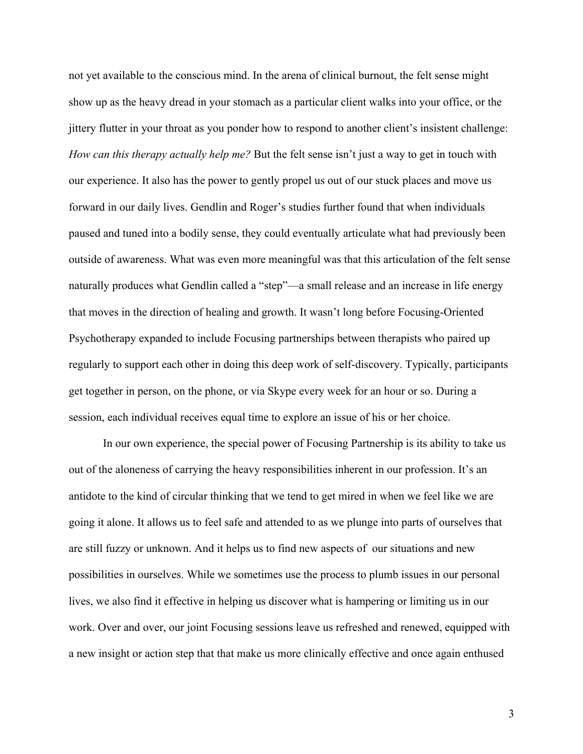not yet available to the conscious mind. In the arena of clinical burnout, the felt sense might show up as the heavy dread in your stomach as a particular client walks into your office, or the jittery flutter in your throat as you ponder how to respond to another client's insistent challenge: *How can this therapy actually help me?* But the felt sense isn't just a way to get in touch with our experience. It also has the power to gently propel us out of our stuck places and move us forward in our daily lives. Gendlin and Roger's studies further found that when individuals paused and tuned into a bodily sense, they could eventually articulate what had previously been outside of awareness. What was even more meaningful was that this articulation of the felt sense naturally produces what Gendlin called a "step"—a small release and an increase in life energy that moves in the direction of healing and growth. It wasn't long before Focusing-Oriented Psychotherapy expanded to include Focusing partnerships between therapists who paired up regularly to support each other in doing this deep work of self-discovery. Typically, participants get together in person, on the phone, or via Skype every week for an hour or so. During a session, each individual receives equal time to explore an issue of his or her choice.

In our own experience, the special power of Focusing Partnership is its ability to take us out of the aloneness of carrying the heavy responsibilities inherent in our profession. It's an antidote to the kind of circular thinking that we tend to get mired in when we feel like we are going it alone. It allows us to feel safe and attended to as we plunge into parts of ourselves that are still fuzzy or unknown. And it helps us to find new aspects of our situations and new possibilities in ourselves. While we sometimes use the process to plumb issues in our personal lives, we also find it effective in helping us discover what is hampering or limiting us in our work. Over and over, our joint Focusing sessions leave us refreshed and renewed, equipped with a new insight or action step that that make us more clinically effective and once again enthused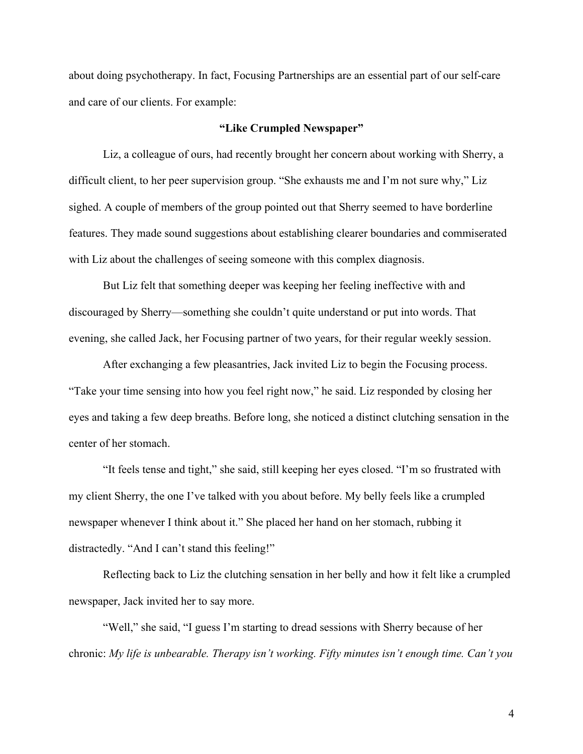about doing psychotherapy. In fact, Focusing Partnerships are an essential part of our self-care and care of our clients. For example:

## **"Like Crumpled Newspaper"**

Liz, a colleague of ours, had recently brought her concern about working with Sherry, a difficult client, to her peer supervision group. "She exhausts me and I'm not sure why," Liz sighed. A couple of members of the group pointed out that Sherry seemed to have borderline features. They made sound suggestions about establishing clearer boundaries and commiserated with Liz about the challenges of seeing someone with this complex diagnosis.

But Liz felt that something deeper was keeping her feeling ineffective with and discouraged by Sherry—something she couldn't quite understand or put into words. That evening, she called Jack, her Focusing partner of two years, for their regular weekly session.

After exchanging a few pleasantries, Jack invited Liz to begin the Focusing process. "Take your time sensing into how you feel right now," he said. Liz responded by closing her eyes and taking a few deep breaths. Before long, she noticed a distinct clutching sensation in the center of her stomach.

"It feels tense and tight," she said, still keeping her eyes closed. "I'm so frustrated with my client Sherry, the one I've talked with you about before. My belly feels like a crumpled newspaper whenever I think about it." She placed her hand on her stomach, rubbing it distractedly. "And I can't stand this feeling!"

Reflecting back to Liz the clutching sensation in her belly and how it felt like a crumpled newspaper, Jack invited her to say more.

"Well," she said, "I guess I'm starting to dread sessions with Sherry because of her chronic: *My life is unbearable. Therapy isn't working. Fifty minutes isn't enough time. Can't you*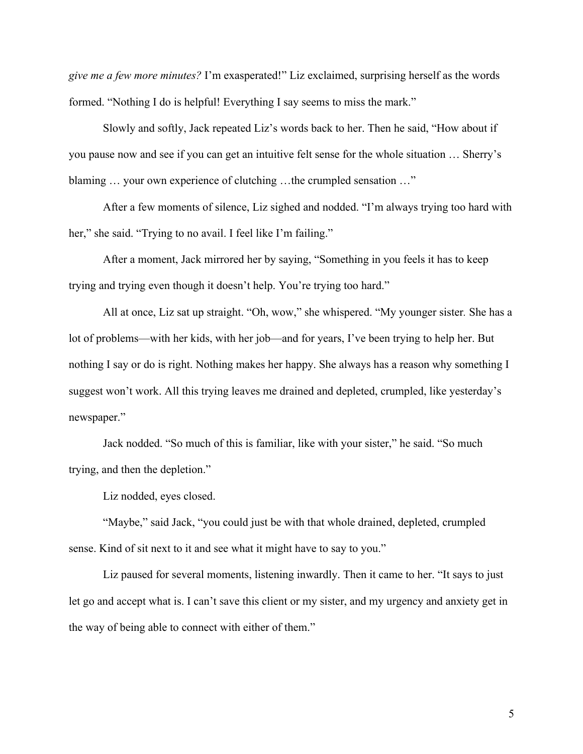*give me a few more minutes?* I'm exasperated!" Liz exclaimed, surprising herself as the words formed. "Nothing I do is helpful! Everything I say seems to miss the mark."

Slowly and softly, Jack repeated Liz's words back to her. Then he said, "How about if you pause now and see if you can get an intuitive felt sense for the whole situation … Sherry's blaming … your own experience of clutching …the crumpled sensation …"

After a few moments of silence, Liz sighed and nodded. "I'm always trying too hard with her," she said. "Trying to no avail. I feel like I'm failing."

After a moment, Jack mirrored her by saying, "Something in you feels it has to keep trying and trying even though it doesn't help. You're trying too hard."

All at once, Liz sat up straight. "Oh, wow," she whispered. "My younger sister*.* She has a lot of problems—with her kids, with her job—and for years, I've been trying to help her. But nothing I say or do is right. Nothing makes her happy. She always has a reason why something I suggest won't work. All this trying leaves me drained and depleted, crumpled, like yesterday's newspaper."

Jack nodded. "So much of this is familiar, like with your sister," he said. "So much trying, and then the depletion."

Liz nodded, eyes closed.

"Maybe," said Jack, "you could just be with that whole drained, depleted, crumpled sense. Kind of sit next to it and see what it might have to say to you."

Liz paused for several moments, listening inwardly. Then it came to her. "It says to just let go and accept what is. I can't save this client or my sister, and my urgency and anxiety get in the way of being able to connect with either of them."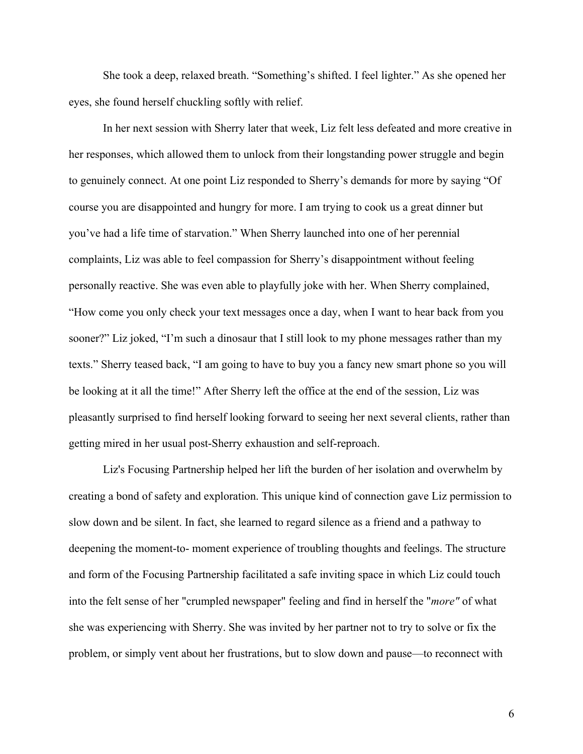She took a deep, relaxed breath. "Something's shifted. I feel lighter." As she opened her eyes, she found herself chuckling softly with relief.

In her next session with Sherry later that week, Liz felt less defeated and more creative in her responses, which allowed them to unlock from their longstanding power struggle and begin to genuinely connect. At one point Liz responded to Sherry's demands for more by saying "Of course you are disappointed and hungry for more. I am trying to cook us a great dinner but you've had a life time of starvation." When Sherry launched into one of her perennial complaints, Liz was able to feel compassion for Sherry's disappointment without feeling personally reactive. She was even able to playfully joke with her. When Sherry complained, "How come you only check your text messages once a day, when I want to hear back from you sooner?" Liz joked, "I'm such a dinosaur that I still look to my phone messages rather than my texts." Sherry teased back, "I am going to have to buy you a fancy new smart phone so you will be looking at it all the time!" After Sherry left the office at the end of the session, Liz was pleasantly surprised to find herself looking forward to seeing her next several clients, rather than getting mired in her usual post-Sherry exhaustion and self-reproach.

Liz's Focusing Partnership helped her lift the burden of her isolation and overwhelm by creating a bond of safety and exploration. This unique kind of connection gave Liz permission to slow down and be silent. In fact, she learned to regard silence as a friend and a pathway to deepening the moment-to- moment experience of troubling thoughts and feelings. The structure and form of the Focusing Partnership facilitated a safe inviting space in which Liz could touch into the felt sense of her "crumpled newspaper" feeling and find in herself the "*more"* of what she was experiencing with Sherry. She was invited by her partner not to try to solve or fix the problem, or simply vent about her frustrations, but to slow down and pause—to reconnect with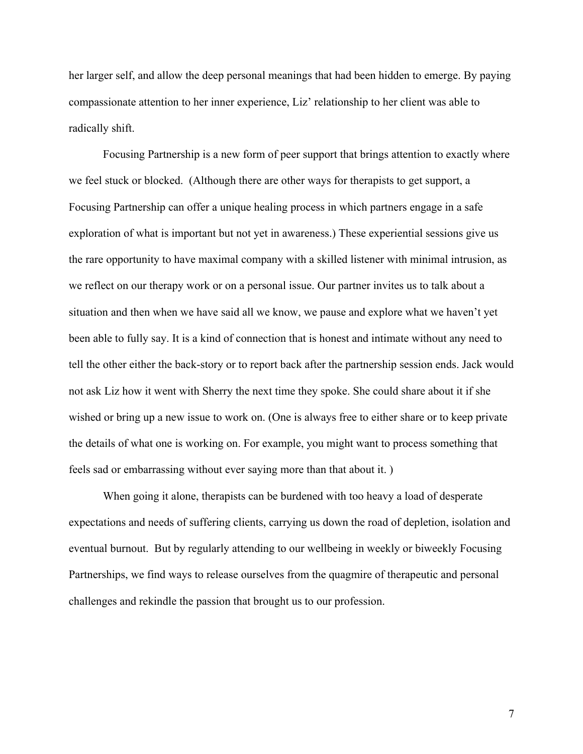her larger self, and allow the deep personal meanings that had been hidden to emerge. By paying compassionate attention to her inner experience, Liz' relationship to her client was able to radically shift.

Focusing Partnership is a new form of peer support that brings attention to exactly where we feel stuck or blocked. (Although there are other ways for therapists to get support, a Focusing Partnership can offer a unique healing process in which partners engage in a safe exploration of what is important but not yet in awareness.) These experiential sessions give us the rare opportunity to have maximal company with a skilled listener with minimal intrusion, as we reflect on our therapy work or on a personal issue. Our partner invites us to talk about a situation and then when we have said all we know, we pause and explore what we haven't yet been able to fully say. It is a kind of connection that is honest and intimate without any need to tell the other either the back-story or to report back after the partnership session ends. Jack would not ask Liz how it went with Sherry the next time they spoke. She could share about it if she wished or bring up a new issue to work on. (One is always free to either share or to keep private the details of what one is working on. For example, you might want to process something that feels sad or embarrassing without ever saying more than that about it. )

When going it alone, therapists can be burdened with too heavy a load of desperate expectations and needs of suffering clients, carrying us down the road of depletion, isolation and eventual burnout. But by regularly attending to our wellbeing in weekly or biweekly Focusing Partnerships, we find ways to release ourselves from the quagmire of therapeutic and personal challenges and rekindle the passion that brought us to our profession.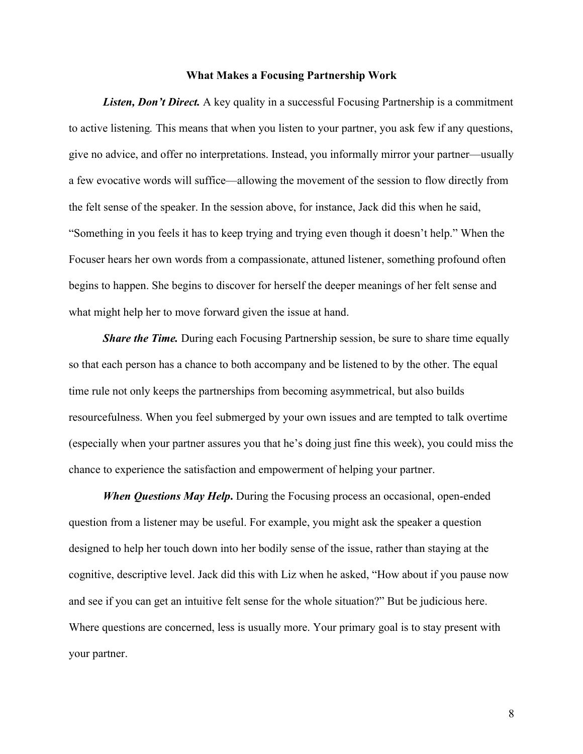## **What Makes a Focusing Partnership Work**

*Listen, Don't Direct.* A key quality in a successful Focusing Partnership is a commitment to active listening*.* This means that when you listen to your partner, you ask few if any questions, give no advice, and offer no interpretations. Instead, you informally mirror your partner—usually a few evocative words will suffice—allowing the movement of the session to flow directly from the felt sense of the speaker. In the session above, for instance, Jack did this when he said, "Something in you feels it has to keep trying and trying even though it doesn't help." When the Focuser hears her own words from a compassionate, attuned listener, something profound often begins to happen. She begins to discover for herself the deeper meanings of her felt sense and what might help her to move forward given the issue at hand.

*Share the Time.* During each Focusing Partnership session, be sure to share time equally so that each person has a chance to both accompany and be listened to by the other. The equal time rule not only keeps the partnerships from becoming asymmetrical, but also builds resourcefulness. When you feel submerged by your own issues and are tempted to talk overtime (especially when your partner assures you that he's doing just fine this week), you could miss the chance to experience the satisfaction and empowerment of helping your partner.

*When Questions May Help***.** During the Focusing process an occasional, open-ended question from a listener may be useful. For example, you might ask the speaker a question designed to help her touch down into her bodily sense of the issue, rather than staying at the cognitive, descriptive level. Jack did this with Liz when he asked, "How about if you pause now and see if you can get an intuitive felt sense for the whole situation?" But be judicious here. Where questions are concerned, less is usually more. Your primary goal is to stay present with your partner.